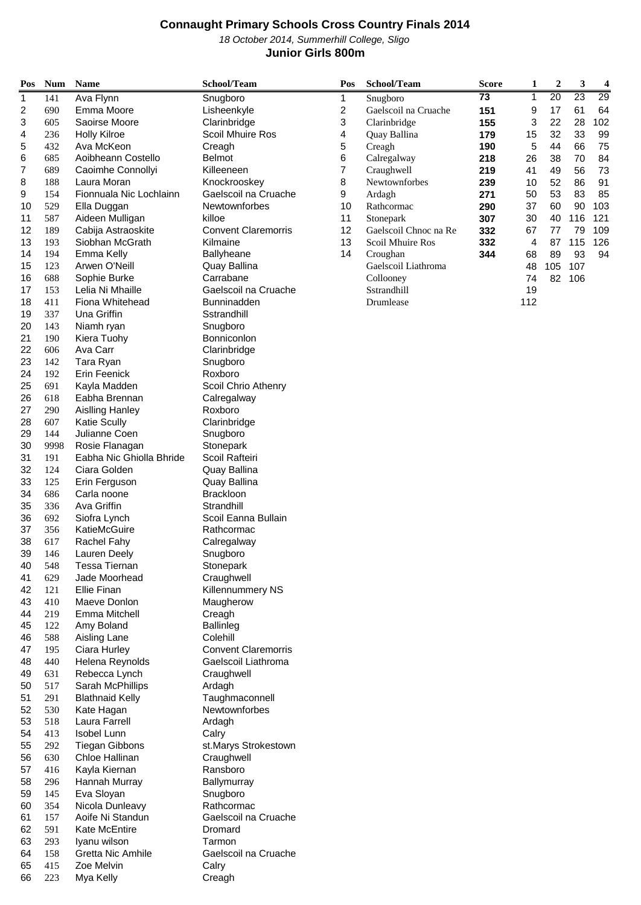October 2014, Summerhill College, Sligo

### **Junior Girls 800m**

| Pos      | <b>Num</b> | <b>Name</b>                                   | School/Team                | Pos                     | School/Team           | <b>Score</b> | 1   | $\boldsymbol{2}$ | 3               | 4   |
|----------|------------|-----------------------------------------------|----------------------------|-------------------------|-----------------------|--------------|-----|------------------|-----------------|-----|
| 1        | 141        | Ava Flynn                                     | Snugboro                   | 1                       | Snugboro              | 73           | 1   | 20               | $\overline{23}$ | 29  |
| 2        | 690        | Emma Moore                                    | Lisheenkyle                | $\overline{\mathbf{c}}$ | Gaelscoil na Cruache  | 151          | 9   | 17               | 61              | 64  |
| 3        | 605        | Saoirse Moore                                 | Clarinbridge               | 3                       | Clarinbridge          | 155          | 3   | 22               | 28              | 102 |
| 4        | 236        | <b>Holly Kilroe</b>                           | Scoil Mhuire Ros           | 4                       | Quay Ballina          | 179          | 15  | 32               | 33              | 99  |
| 5        | 432        | Ava McKeon                                    | Creagh                     | 5                       | Creagh                | 190          | 5   | 44               | 66              | 75  |
| 6        | 685        | Aoibheann Costello                            | Belmot                     | 6                       | Calregalway           | 218          | 26  | 38               | 70              | 84  |
| 7        | 689        | Caoimhe Connollyi                             | Killeeneen                 | 7                       | Craughwell            | 219          | 41  | 49               | 56              | 73  |
| 8        | 188        | Laura Moran                                   | Knockrooskey               | 8                       | Newtownforbes         | 239          | 10  | 52               | 86              | 91  |
| 9        | 154        | Fionnuala Nic Lochlainn                       | Gaelscoil na Cruache       | 9                       | Ardagh                | 271          | 50  | 53               | 83              | 85  |
| 10       | 529        | Ella Duggan                                   | Newtownforbes              | 10                      | Rathcormac            | 290          | 37  | 60               | 90              | 103 |
| 11       | 587        | Aideen Mulligan                               | killoe                     | 11                      | Stonepark             | 307          | 30  | 40               | 116             | 121 |
| 12       | 189        | Cabija Astraoskite                            | <b>Convent Claremorris</b> | 12                      | Gaelscoil Chnoc na Re | 332          | 67  | $77$             | 79              | 109 |
| 13       | 193        | Siobhan McGrath                               | Kilmaine                   | 13                      | Scoil Mhuire Ros      | 332          | 4   | 87               | 115             | 126 |
| 14       | 194        | Emma Kelly                                    | <b>Ballyheane</b>          | 14                      | Croughan              | 344          | 68  | 89               | 93              | 94  |
| 15       | 123        | Arwen O'Neill                                 | Quay Ballina               |                         | Gaelscoil Liathroma   |              | 48  | 105              | 107             |     |
| 16       | 688        | Sophie Burke                                  | Carrabane                  |                         | Collooney             |              | 74  |                  | 82 106          |     |
| 17       | 153        | Lelia Ni Mhaille                              | Gaelscoil na Cruache       |                         | Sstrandhill           |              | 19  |                  |                 |     |
| 18       | 411        | Fiona Whitehead                               | <b>Bunninadden</b>         |                         | Drumlease             |              | 112 |                  |                 |     |
| 19       | 337        | Una Griffin                                   | Sstrandhill                |                         |                       |              |     |                  |                 |     |
| 20       | 143        | Niamh ryan                                    | Snugboro                   |                         |                       |              |     |                  |                 |     |
| 21       | 190        | Kiera Tuohy                                   | Bonniconlon                |                         |                       |              |     |                  |                 |     |
| 22       | 606        | Ava Carr                                      | Clarinbridge               |                         |                       |              |     |                  |                 |     |
| 23       | 142        | Tara Ryan                                     | Snugboro                   |                         |                       |              |     |                  |                 |     |
| 24       | 192        | Erin Feenick                                  | Roxboro                    |                         |                       |              |     |                  |                 |     |
| 25       | 691        | Kayla Madden                                  | Scoil Chrio Athenry        |                         |                       |              |     |                  |                 |     |
| 26       | 618        | Eabha Brennan                                 | Calregalway                |                         |                       |              |     |                  |                 |     |
| 27<br>28 | 290<br>607 | <b>Aislling Hanley</b><br><b>Katie Scully</b> | Roxboro<br>Clarinbridge    |                         |                       |              |     |                  |                 |     |
| 29       | 144        | Julianne Coen                                 |                            |                         |                       |              |     |                  |                 |     |
| 30       | 9998       | Rosie Flanagan                                | Snugboro<br>Stonepark      |                         |                       |              |     |                  |                 |     |
| 31       | 191        | Eabha Nic Ghiolla Bhride                      | Scoil Rafteiri             |                         |                       |              |     |                  |                 |     |
| 32       | 124        | Ciara Golden                                  | Quay Ballina               |                         |                       |              |     |                  |                 |     |
| 33       | 125        | Erin Ferguson                                 | Quay Ballina               |                         |                       |              |     |                  |                 |     |
| 34       | 686        | Carla noone                                   | <b>Brackloon</b>           |                         |                       |              |     |                  |                 |     |
| 35       | 336        | Ava Griffin                                   | Strandhill                 |                         |                       |              |     |                  |                 |     |
| 36       | 692        | Siofra Lynch                                  | Scoil Eanna Bullain        |                         |                       |              |     |                  |                 |     |
| 37       | 356        | KatieMcGuire                                  | Rathcormac                 |                         |                       |              |     |                  |                 |     |
| 38       | 617        | <b>Rachel Fahy</b>                            | Calregalway                |                         |                       |              |     |                  |                 |     |
| 39       | 146        | Lauren Deely                                  | Snugboro                   |                         |                       |              |     |                  |                 |     |
| 40       | 548        | Tessa Tiernan                                 | Stonepark                  |                         |                       |              |     |                  |                 |     |
| 41       | 629        | Jade Moorhead                                 | Craughwell                 |                         |                       |              |     |                  |                 |     |
| 42       | 121        | Ellie Finan                                   | Killennummery NS           |                         |                       |              |     |                  |                 |     |
| 43       | 410        | Maeve Donlon                                  | Maugherow                  |                         |                       |              |     |                  |                 |     |
| 44       | 219        | Emma Mitchell                                 | Creagh                     |                         |                       |              |     |                  |                 |     |
| 45       | 122        | Amy Boland                                    | <b>Ballinleg</b>           |                         |                       |              |     |                  |                 |     |
| 46       | 588        | Aisling Lane                                  | Colehill                   |                         |                       |              |     |                  |                 |     |
| 47       | 195        | Ciara Hurley                                  | <b>Convent Claremorris</b> |                         |                       |              |     |                  |                 |     |
| 48       | 440        | Helena Reynolds                               | Gaelscoil Liathroma        |                         |                       |              |     |                  |                 |     |
| 49       | 631        | Rebecca Lynch                                 | Craughwell                 |                         |                       |              |     |                  |                 |     |
| 50       | 517        | Sarah McPhillips                              | Ardagh                     |                         |                       |              |     |                  |                 |     |
| 51       | 291        | <b>Blathnaid Kelly</b>                        | Taughmaconnell             |                         |                       |              |     |                  |                 |     |
| 52       | 530        | Kate Hagan                                    | Newtownforbes              |                         |                       |              |     |                  |                 |     |
| 53       | 518        | Laura Farrell                                 | Ardagh                     |                         |                       |              |     |                  |                 |     |
| 54       | 413        | Isobel Lunn                                   | Calry                      |                         |                       |              |     |                  |                 |     |
| 55       | 292        | <b>Tiegan Gibbons</b>                         | st.Marys Strokestown       |                         |                       |              |     |                  |                 |     |
| 56       | 630        | Chloe Hallinan                                | Craughwell                 |                         |                       |              |     |                  |                 |     |
| 57       | 416        | Kayla Kiernan                                 | Ransboro                   |                         |                       |              |     |                  |                 |     |
| 58       | 296        | Hannah Murray                                 | Ballymurray                |                         |                       |              |     |                  |                 |     |
| 59       | 145        | Eva Sloyan                                    | Snugboro                   |                         |                       |              |     |                  |                 |     |
| 60       | 354        | Nicola Dunleavy                               | Rathcormac                 |                         |                       |              |     |                  |                 |     |
| 61       | 157        | Aoife Ni Standun                              | Gaelscoil na Cruache       |                         |                       |              |     |                  |                 |     |
| 62       | 591        | Kate McEntire                                 | Dromard                    |                         |                       |              |     |                  |                 |     |
| 63       | 293        | Iyanu wilson                                  | Tarmon                     |                         |                       |              |     |                  |                 |     |
| 64       | 158        | <b>Gretta Nic Amhile</b>                      | Gaelscoil na Cruache       |                         |                       |              |     |                  |                 |     |
| 65       | 415        | Zoe Melvin                                    | Calry                      |                         |                       |              |     |                  |                 |     |
| 66       | 223        | Mya Kelly                                     | Creagh                     |                         |                       |              |     |                  |                 |     |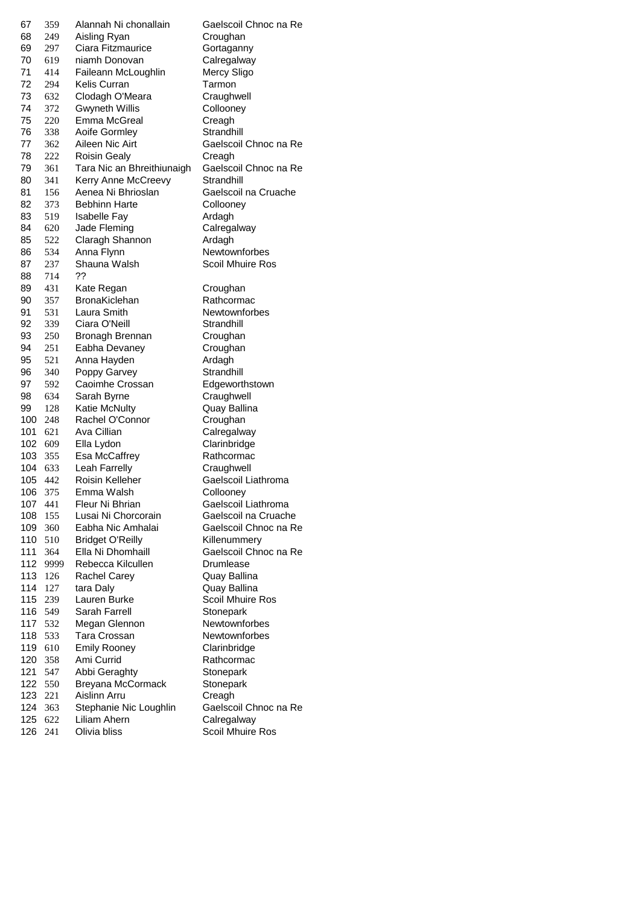| 67      | 359  | Alannah Ni chonallain      | Gaelscoil Chnoc na Re |
|---------|------|----------------------------|-----------------------|
| 68      | 249  | Aisling Ryan               | Croughan              |
| 69      | 297  | Ciara Fitzmaurice          | Gortaganny            |
| 70      | 619  | niamh Donovan              | Calregalway           |
| 71      | 414  | Faileann McLoughlin        | Mercy Sligo           |
| 72      | 294  | Kelis Curran               | Tarmon                |
| 73      | 632  | Clodagh O'Meara            | Craughwell            |
| 74      | 372  | <b>Gwyneth Willis</b>      | Collooney             |
| 75      | 220  | Emma McGreal               | Creagh                |
| 76      | 338  | <b>Aoife Gormley</b>       | Strandhill            |
| 77      | 362  | Aileen Nic Airt            | Gaelscoil Chnoc na Re |
|         |      |                            | Creagh                |
| 78      | 222  | <b>Roisin Gealy</b>        |                       |
| 79      | 361  | Tara Nic an Bhreithiunaigh | Gaelscoil Chnoc na Re |
| 80      | 341  | Kerry Anne McCreevy        | Strandhill            |
| 81      | 156  | Aenea Ni Bhrioslan         | Gaelscoil na Cruache  |
| 82      | 373  | <b>Bebhinn Harte</b>       | Collooney             |
| 83      | 519  | <b>Isabelle Fay</b>        | Ardagh                |
| 84      | 620  | Jade Fleming               | Calregalway           |
| 85      | 522  | Claragh Shannon            | Ardagh                |
| 86      | 534  | Anna Flynn                 | Newtownforbes         |
| 87      | 237  | Shauna Walsh               | Scoil Mhuire Ros      |
| 88      | 714  | ??                         |                       |
| 89      | 431  | Kate Regan                 | Croughan              |
| 90      | 357  | <b>BronaKiclehan</b>       | Rathcormac            |
| 91      | 531  | Laura Smith                | Newtownforbes         |
| 92      | 339  | Ciara O'Neill              | Strandhill            |
| 93      | 250  | Bronagh Brennan            | Croughan              |
| 94      | 251  | Eabha Devaney              | Croughan              |
| 95      | 521  | Anna Hayden                | Ardagh                |
| 96      | 340  | Poppy Garvey               | Strandhill            |
| 97      | 592  | Caoimhe Crossan            | Edgeworthstown        |
| 98      | 634  | Sarah Byrne                | Craughwell            |
| 99      | 128  | Katie McNulty              | Quay Ballina          |
| 100     | 248  | Rachel O'Connor            | Croughan              |
| 101     | 621  | Ava Cillian                | Calregalway           |
| 102     | 609  | Ella Lydon                 | Clarinbridge          |
| 103     | 355  | Esa McCaffrey              | Rathcormac            |
| 104     | 633  | Leah Farrelly              | Craughwell            |
| 105     | 442  | Roisin Kelleher            | Gaelscoil Liathroma   |
|         | 375  |                            |                       |
| 106     |      | Emma Walsh                 | Collooney             |
| 107 441 |      | Fleur Ni Bhrian            | Gaelscoil Liathroma   |
| 108     | 155  | Lusai Ni Chorcorain        | Gaelscoil na Cruache  |
| 109     | 360  | Eabha Nic Amhalai          | Gaelscoil Chnoc na Re |
| 110     | 510  | <b>Bridget O'Reilly</b>    | Killenummery          |
| 111     | 364  | Ella Ni Dhomhaill          | Gaelscoil Chnoc na Re |
| 112     | 9999 | Rebecca Kilcullen          | Drumlease             |
| 113     | 126  | Rachel Carey               | Quay Ballina          |
| 114     | 127  | tara Daly                  | Quay Ballina          |
| 115     | 239  | Lauren Burke               | Scoil Mhuire Ros      |
| 116     | 549  | Sarah Farrell              | Stonepark             |
| 117     | 532  | Megan Glennon              | Newtownforbes         |
| 118     | 533  | Tara Crossan               | <b>Newtownforbes</b>  |
| 119     | 610  | <b>Emily Rooney</b>        | Clarinbridge          |
| 120     | 358  | Ami Currid                 | Rathcormac            |
| 121     | 547  | Abbi Geraghty              | Stonepark             |
| 122     | 550  | Breyana McCormack          | Stonepark             |
| 123     | 221  | Aislinn Arru               | Creagh                |
| 124     | 363  | Stephanie Nic Loughlin     | Gaelscoil Chnoc na Re |
| 125     | 622  | Liliam Ahern               | Calregalway           |
| 126     | 241  | Olivia bliss               | Scoil Mhuire Ros      |
|         |      |                            |                       |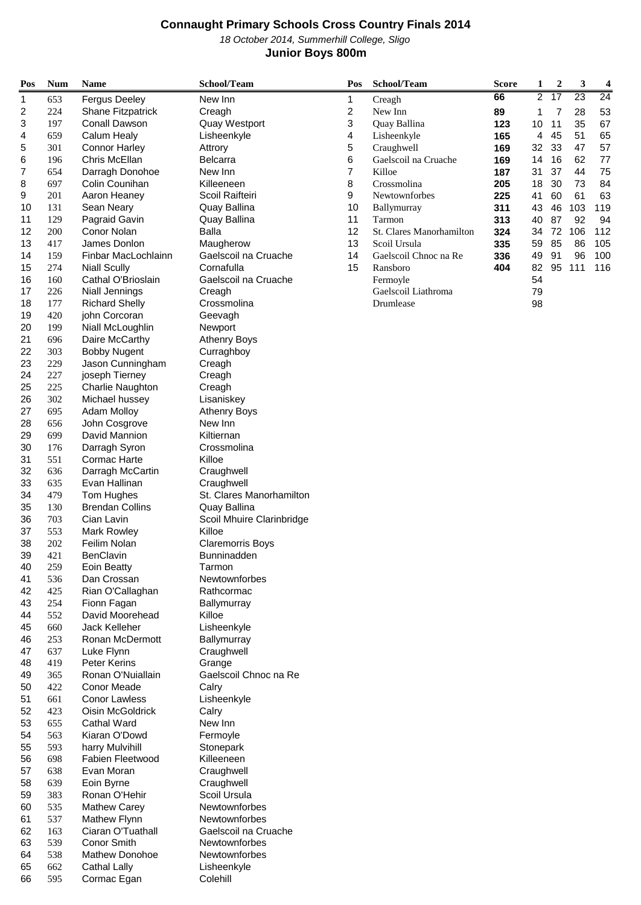October 2014, Summerhill College, Sligo

### **Junior Boys 800m**

| Pos      | <b>Num</b> | <b>Name</b>                        | School/Team                    | Pos | School/Team              | <b>Score</b> | 1              | $\boldsymbol{2}$ | 3   | 4   |  |
|----------|------------|------------------------------------|--------------------------------|-----|--------------------------|--------------|----------------|------------------|-----|-----|--|
| 1        | 653        | <b>Fergus Deeley</b>               | New Inn                        | 1   | Creagh                   | 66           | $\overline{2}$ | $\overline{17}$  | 23  | 24  |  |
| 2        | 224        | Shane Fitzpatrick                  | Creagh                         | 2   | New Inn                  | 89           | 1              | 7                | 28  | 53  |  |
| 3        | 197        | Conall Dawson                      | Quay Westport                  | 3   | Quay Ballina             | 123          | 10             | 11               | 35  | 67  |  |
| 4        | 659        | Calum Healy                        | Lisheenkyle                    | 4   | Lisheenkyle              | 165          | 4              | 45               | 51  | 65  |  |
| 5        | 301        | <b>Connor Harley</b>               | Attrory                        | 5   | Craughwell               | 169          | 32             | 33               | 47  | 57  |  |
| 6        | 196        | Chris McEllan                      | <b>Belcarra</b>                | 6   | Gaelscoil na Cruache     | 169          | 14             | 16               | 62  | 77  |  |
| 7        | 654        | Darragh Donohoe                    | New Inn                        | 7   | Killoe                   | 187          | 31             | 37               | 44  | 75  |  |
| 8        | 697        | Colin Counihan                     | Killeeneen                     | 8   | Crossmolina              | 205          | 18             | 30               | 73  | 84  |  |
| 9        | 201        | Aaron Heaney                       | Scoil Raifteiri                | 9   | Newtownforbes            | 225          | 41             | 60               | 61  | 63  |  |
| 10       | 131        | Sean Neary                         | Quay Ballina                   | 10  | Ballymurray              | 311          | 43             | 46               | 103 | 119 |  |
| 11       | 129        | Pagraid Gavin                      | Quay Ballina                   | 11  | Tarmon                   | 313          | 40             | 87               | 92  | 94  |  |
| 12       | 200        | Conor Nolan                        | <b>Balla</b>                   | 12  | St. Clares Manorhamilton | 324          | 34             | 72               | 106 | 112 |  |
| 13       | 417        | James Donlon                       | Maugherow                      | 13  | Scoil Ursula             | 335          | 59             | 85               | 86  | 105 |  |
| 14       | 159        | Finbar MacLochlainn                | Gaelscoil na Cruache           | 14  | Gaelscoil Chnoc na Re    | 336          | 49             | 91               | 96  | 100 |  |
| 15       | 274        | <b>Niall Scully</b>                | Cornafulla                     | 15  | Ransboro                 | 404          | 82             | 95               | 111 | 116 |  |
| 16       | 160        | Cathal O'Brioslain                 | Gaelscoil na Cruache           |     | Fermoyle                 |              | 54             |                  |     |     |  |
| 17       | 226        | Niall Jennings                     | Creagh                         |     | Gaelscoil Liathroma      |              | 79             |                  |     |     |  |
| 18       | 177        | <b>Richard Shelly</b>              | Crossmolina                    |     | Drumlease                |              | 98             |                  |     |     |  |
| 19       | 420        | john Corcoran                      | Geevagh                        |     |                          |              |                |                  |     |     |  |
| 20       | 199        | Niall McLoughlin                   | Newport                        |     |                          |              |                |                  |     |     |  |
| 21       | 696        | Daire McCarthy                     | <b>Athenry Boys</b>            |     |                          |              |                |                  |     |     |  |
| 22       | 303        | <b>Bobby Nugent</b>                | Curraghboy                     |     |                          |              |                |                  |     |     |  |
| 23       | 229        | Jason Cunningham                   | Creagh                         |     |                          |              |                |                  |     |     |  |
| 24       | 227        | joseph Tierney                     | Creagh                         |     |                          |              |                |                  |     |     |  |
| 25<br>26 | 225<br>302 | Charlie Naughton<br>Michael hussey | Creagh<br>Lisaniskey           |     |                          |              |                |                  |     |     |  |
| 27       | 695        | <b>Adam Molloy</b>                 |                                |     |                          |              |                |                  |     |     |  |
| 28       | 656        | John Cosgrove                      | <b>Athenry Boys</b><br>New Inn |     |                          |              |                |                  |     |     |  |
| 29       | 699        | David Mannion                      | Kiltiernan                     |     |                          |              |                |                  |     |     |  |
| 30       | 176        | Darragh Syron                      | Crossmolina                    |     |                          |              |                |                  |     |     |  |
| 31       | 551        | <b>Cormac Harte</b>                | Killoe                         |     |                          |              |                |                  |     |     |  |
| 32       | 636        | Darragh McCartin                   | Craughwell                     |     |                          |              |                |                  |     |     |  |
| 33       | 635        | Evan Hallinan                      | Craughwell                     |     |                          |              |                |                  |     |     |  |
| 34       | 479        | Tom Hughes                         | St. Clares Manorhamilton       |     |                          |              |                |                  |     |     |  |
| 35       | 130        | <b>Brendan Collins</b>             | Quay Ballina                   |     |                          |              |                |                  |     |     |  |
| 36       | 703        | Cian Lavin                         | Scoil Mhuire Clarinbridge      |     |                          |              |                |                  |     |     |  |
| 37       | 553        | <b>Mark Rowley</b>                 | Killoe                         |     |                          |              |                |                  |     |     |  |
| 38       | 202        | Feilim Nolan                       | <b>Claremorris Boys</b>        |     |                          |              |                |                  |     |     |  |
| 39       | 421        | BenClavin                          | <b>Bunninadden</b>             |     |                          |              |                |                  |     |     |  |
| 40       | 259        | Eoin Beatty                        | Tarmon                         |     |                          |              |                |                  |     |     |  |
| 41       | 536        | Dan Crossan                        | Newtownforbes                  |     |                          |              |                |                  |     |     |  |
| 42       | 425        | Rian O'Callaghan                   | Rathcormac                     |     |                          |              |                |                  |     |     |  |
| 43       | 254        | Fionn Fagan                        | Ballymurray                    |     |                          |              |                |                  |     |     |  |
| 44       | 552        | David Moorehead                    | Killoe                         |     |                          |              |                |                  |     |     |  |
| 45       | 660        | Jack Kelleher                      | Lisheenkyle                    |     |                          |              |                |                  |     |     |  |
| 46       | 253        | Ronan McDermott                    | Ballymurray                    |     |                          |              |                |                  |     |     |  |
| 47       | 637        | Luke Flynn                         | Craughwell                     |     |                          |              |                |                  |     |     |  |
| 48       | 419        | Peter Kerins                       | Grange                         |     |                          |              |                |                  |     |     |  |
| 49       | 365        | Ronan O'Nuiallain                  | Gaelscoil Chnoc na Re          |     |                          |              |                |                  |     |     |  |
| 50       | 422        | Conor Meade                        | Calry                          |     |                          |              |                |                  |     |     |  |
| 51       | 661        | <b>Conor Lawless</b>               | Lisheenkyle                    |     |                          |              |                |                  |     |     |  |
| 52       | 423        | Oisin McGoldrick                   | Calry                          |     |                          |              |                |                  |     |     |  |
| 53       | 655        | <b>Cathal Ward</b>                 | New Inn                        |     |                          |              |                |                  |     |     |  |
| 54<br>55 | 563<br>593 | Kiaran O'Dowd<br>harry Mulvihill   | Fermoyle                       |     |                          |              |                |                  |     |     |  |
| 56       | 698        | <b>Fabien Fleetwood</b>            | Stonepark<br>Killeeneen        |     |                          |              |                |                  |     |     |  |
| 57       | 638        | Evan Moran                         | Craughwell                     |     |                          |              |                |                  |     |     |  |
| 58       | 639        | Eoin Byrne                         | Craughwell                     |     |                          |              |                |                  |     |     |  |
| 59       | 383        | Ronan O'Hehir                      | Scoil Ursula                   |     |                          |              |                |                  |     |     |  |
| 60       | 535        | <b>Mathew Carey</b>                | Newtownforbes                  |     |                          |              |                |                  |     |     |  |
| 61       | 537        | <b>Mathew Flynn</b>                | Newtownforbes                  |     |                          |              |                |                  |     |     |  |
| 62       | 163        | Ciaran O'Tuathall                  | Gaelscoil na Cruache           |     |                          |              |                |                  |     |     |  |
| 63       | 539        | Conor Smith                        | Newtownforbes                  |     |                          |              |                |                  |     |     |  |
| 64       | 538        | Mathew Donohoe                     | Newtownforbes                  |     |                          |              |                |                  |     |     |  |
| 65       | 662        | <b>Cathal Lally</b>                | Lisheenkyle                    |     |                          |              |                |                  |     |     |  |
| 66       | 595        | Cormac Egan                        | Colehill                       |     |                          |              |                |                  |     |     |  |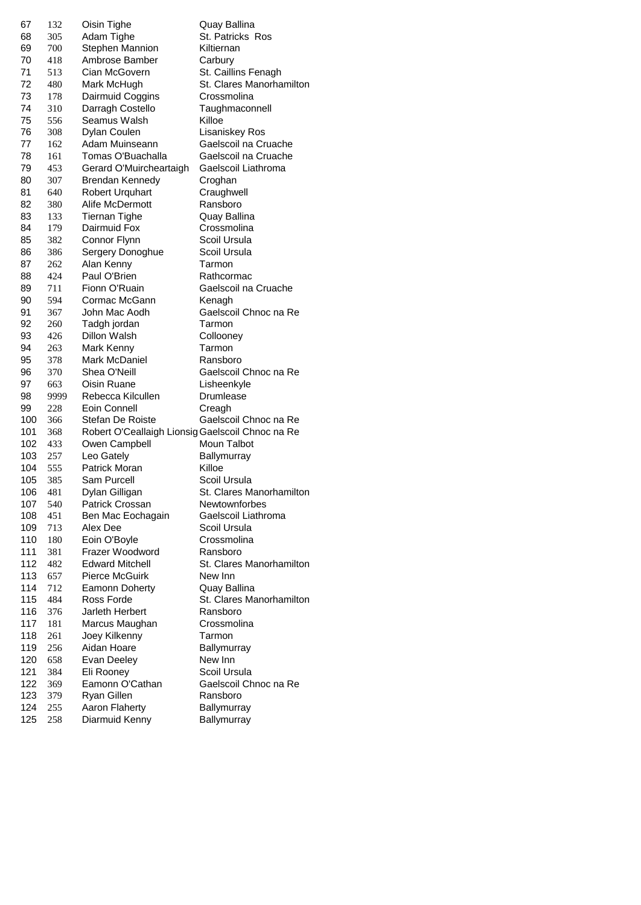| 67  | 132  | Oisin Tighe                                      | Quay Ballina             |
|-----|------|--------------------------------------------------|--------------------------|
| 68  | 305  | Adam Tighe                                       | St. Patricks Ros         |
| 69  | 700  | Stephen Mannion                                  | Kiltiernan               |
| 70  | 418  | Ambrose Bamber                                   | Carbury                  |
| 71  | 513  | Cian McGovern                                    | St. Caillins Fenagh      |
| 72  | 480  | Mark McHugh                                      | St. Clares Manorhamilton |
| 73  | 178  | Dairmuid Coggins                                 | Crossmolina              |
| 74  | 310  | Darragh Costello                                 | Taughmaconnell           |
| 75  | 556  | Seamus Walsh                                     | Killoe                   |
| 76  | 308  | Dylan Coulen                                     | Lisaniskey Ros           |
| 77  |      | Adam Muinseann                                   | Gaelscoil na Cruache     |
|     | 162  |                                                  |                          |
| 78  | 161  | Tomas O'Buachalla                                | Gaelscoil na Cruache     |
| 79  | 453  | Gerard O'Muircheartaigh                          | Gaelscoil Liathroma      |
| 80  | 307  | Brendan Kennedy                                  | Croghan                  |
| 81  | 640  | <b>Robert Urquhart</b>                           | Craughwell               |
| 82  | 380  | Alife McDermott                                  | Ransboro                 |
| 83  | 133  | <b>Tiernan Tighe</b>                             | Quay Ballina             |
| 84  | 179  | Dairmuid Fox                                     | Crossmolina              |
| 85  | 382  | Connor Flynn                                     | Scoil Ursula             |
| 86  | 386  | Sergery Donoghue                                 | Scoil Ursula             |
| 87  | 262  | Alan Kenny                                       | Tarmon                   |
| 88  | 424  | Paul O'Brien                                     | Rathcormac               |
| 89  | 711  | Fionn O'Ruain                                    | Gaelscoil na Cruache     |
| 90  | 594  | Cormac McGann                                    | Kenagh                   |
| 91  | 367  | John Mac Aodh                                    | Gaelscoil Chnoc na Re    |
| 92  | 260  | Tadgh jordan                                     | Tarmon                   |
| 93  | 426  | Dillon Walsh                                     | Collooney                |
| 94  | 263  | Mark Kenny                                       | Tarmon                   |
| 95  | 378  | Mark McDaniel                                    | Ransboro                 |
| 96  | 370  | Shea O'Neill                                     | Gaelscoil Chnoc na Re    |
| 97  | 663  | Oisin Ruane                                      | Lisheenkyle              |
| 98  | 9999 | Rebecca Kilcullen                                | Drumlease                |
| 99  | 228  | Eoin Connell                                     | Creagh                   |
| 100 | 366  | Stefan De Roiste                                 | Gaelscoil Chnoc na Re    |
| 101 | 368  | Robert O'Ceallaigh Lionsig Gaelscoil Chnoc na Re |                          |
|     |      |                                                  | Moun Talbot              |
| 102 | 433  | Owen Campbell                                    |                          |
| 103 | 257  | Leo Gately                                       | Ballymurray              |
| 104 | 555  | Patrick Moran                                    | Killoe                   |
| 105 | 385  | Sam Purcell                                      | Scoil Ursula             |
| 106 | 481  | Dylan Gilligan                                   | St. Clares Manorhamilton |
| 107 | 540  | Patrick Crossan                                  | Newtownforbes            |
| 108 | 451  | Ben Mac Eochagain                                | Gaelscoil Liathroma      |
| 109 | 713  | Alex Dee                                         | Scoil Ursula             |
| 110 | 180  | Eoin O'Boyle                                     | Crossmolina              |
| 111 | 381  | Frazer Woodword                                  | Ransboro                 |
| 112 | 482  | <b>Edward Mitchell</b>                           | St. Clares Manorhamilton |
| 113 | 657  | <b>Pierce McGuirk</b>                            | New Inn                  |
| 114 | 712  | Eamonn Doherty                                   | Quay Ballina             |
| 115 | 484  | Ross Forde                                       | St. Clares Manorhamilton |
| 116 | 376  | Jarleth Herbert                                  | Ransboro                 |
| 117 | 181  | Marcus Maughan                                   | Crossmolina              |
| 118 | 261  | Joey Kilkenny                                    | Tarmon                   |
| 119 | 256  | Aidan Hoare                                      | Ballymurray              |
| 120 | 658  | Evan Deeley                                      | New Inn                  |
| 121 | 384  | Eli Rooney                                       | Scoil Ursula             |
| 122 | 369  | Eamonn O'Cathan                                  | Gaelscoil Chnoc na Re    |
| 123 | 379  | Ryan Gillen                                      | Ransboro                 |
| 124 | 255  | Aaron Flaherty                                   | Ballymurray              |
| 125 | 258  | Diarmuid Kenny                                   | Ballymurray              |
|     |      |                                                  |                          |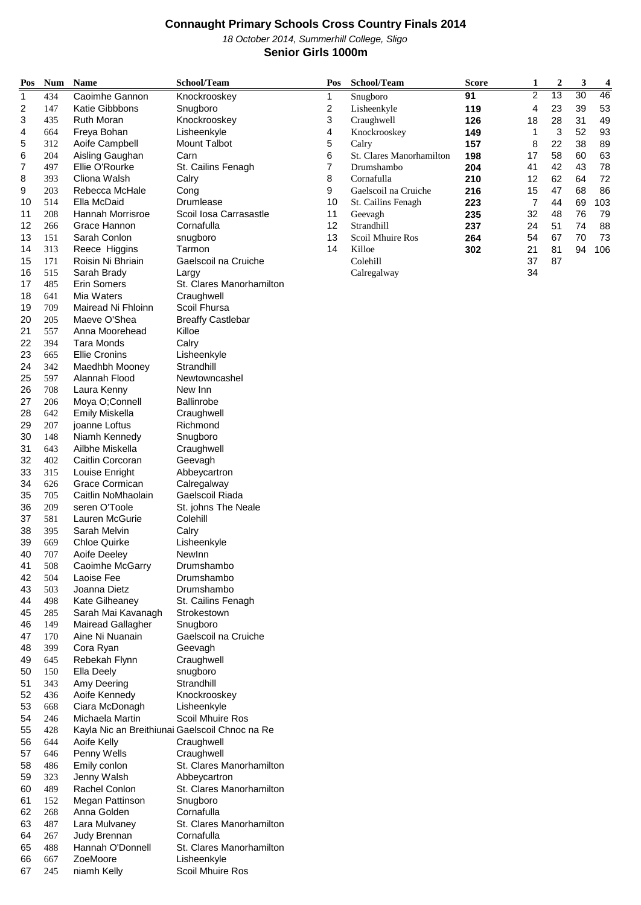October 2014, Summerhill College, Sligo **Senior Girls 1000m**

| Pos                     | <b>Num</b> | <b>Name</b>                                    | School/Team                            | Pos    | School/Team              | Score      | 1              | 2        | 3        | 4        |
|-------------------------|------------|------------------------------------------------|----------------------------------------|--------|--------------------------|------------|----------------|----------|----------|----------|
| 1                       | 434        | Caoimhe Gannon                                 | Knockrooskey                           | 1      | Snugboro                 | 91         | $\overline{2}$ | 13       | 30       | 46       |
| $\overline{\mathbf{c}}$ | 147        | <b>Katie Gibbbons</b>                          | Snugboro                               | 2      | Lisheenkyle              | 119        | 4              | 23       | 39       | 53       |
| 3                       | 435        | <b>Ruth Moran</b>                              | Knockrooskey                           | 3      | Craughwell               | 126        | 18             | 28       | 31       | 49       |
| 4                       | 664        | Freya Bohan                                    | Lisheenkyle                            | 4      | Knockrooskey             | 149        | 1              | 3        | 52       | 93       |
| 5                       | 312        | Aoife Campbell                                 | <b>Mount Talbot</b>                    | 5      | Calry                    | 157        | 8              | 22       | 38       | 89       |
| 6                       | 204        | Aisling Gaughan                                | Carn                                   | 6      | St. Clares Manorhamilton | 198        | 17             | 58       | 60       | 63       |
| 7<br>8                  | 497<br>393 | Ellie O'Rourke<br>Cliona Walsh                 | St. Cailins Fenagh<br>Calry            | 7<br>8 | Drumshambo<br>Cornafulla | 204<br>210 | 41<br>12       | 42<br>62 | 43<br>64 | 78<br>72 |
| 9                       | 203        | Rebecca McHale                                 | Cong                                   | 9      | Gaelscoil na Cruiche     | 216        | 15             | 47       | 68       | 86       |
| 10                      | 514        | Ella McDaid                                    | Drumlease                              | 10     | St. Cailins Fenagh       | 223        | $\overline{7}$ | 44       | 69       | 103      |
| 11                      | 208        | <b>Hannah Morrisroe</b>                        | Scoil Iosa Carrasastle                 | 11     | Geevagh                  | 235        | 32             | 48       | 76       | 79       |
| 12                      | 266        | Grace Hannon                                   | Cornafulla                             | 12     | Strandhill               | 237        | 24             | 51       | 74       | 88       |
| 13                      | 151        | Sarah Conlon                                   | snugboro                               | 13     | Scoil Mhuire Ros         | 264        | 54             | 67       | 70       | 73       |
| 14                      | 313        | Reece Higgins                                  | Tarmon                                 | 14     | Killoe                   | 302        | 21             | 81       | 94       | 106      |
| 15                      | 171        | Roisin Ni Bhriain                              | Gaelscoil na Cruiche                   |        | Colehill                 |            | 37             | 87       |          |          |
| 16                      | 515        | Sarah Brady                                    | Largy                                  |        | Calregalway              |            | 34             |          |          |          |
| 17                      | 485        | <b>Erin Somers</b>                             | St. Clares Manorhamilton               |        |                          |            |                |          |          |          |
| 18                      | 641        | Mia Waters                                     | Craughwell                             |        |                          |            |                |          |          |          |
| 19                      | 709        | Mairead Ni Fhloinn                             | Scoil Fhursa                           |        |                          |            |                |          |          |          |
| 20<br>21                | 205        | Maeve O'Shea<br>Anna Moorehead                 | <b>Breaffy Castlebar</b><br>Killoe     |        |                          |            |                |          |          |          |
| 22                      | 557<br>394 | <b>Tara Monds</b>                              | Calry                                  |        |                          |            |                |          |          |          |
| 23                      | 665        | <b>Ellie Cronins</b>                           | Lisheenkyle                            |        |                          |            |                |          |          |          |
| 24                      | 342        | Maedhbh Mooney                                 | Strandhill                             |        |                          |            |                |          |          |          |
| 25                      | 597        | Alannah Flood                                  | Newtowncashel                          |        |                          |            |                |          |          |          |
| 26                      | 708        | Laura Kenny                                    | New Inn                                |        |                          |            |                |          |          |          |
| 27                      | 206        | Moya O;Connell                                 | <b>Ballinrobe</b>                      |        |                          |            |                |          |          |          |
| 28                      | 642        | <b>Emily Miskella</b>                          | Craughwell                             |        |                          |            |                |          |          |          |
| 29                      | 207        | joanne Loftus                                  | Richmond                               |        |                          |            |                |          |          |          |
| 30                      | 148        | Niamh Kennedy                                  | Snugboro                               |        |                          |            |                |          |          |          |
| 31                      | 643        | Ailbhe Miskella                                | Craughwell                             |        |                          |            |                |          |          |          |
| 32                      | 402        | Caitlin Corcoran                               | Geevagh                                |        |                          |            |                |          |          |          |
| 33                      | 315        | Louise Enright                                 | Abbeycartron                           |        |                          |            |                |          |          |          |
| 34                      | 626        | Grace Cormican                                 | Calregalway                            |        |                          |            |                |          |          |          |
| 35<br>36                | 705        | Caitlin NoMhaolain<br>seren O'Toole            | Gaelscoil Riada                        |        |                          |            |                |          |          |          |
| 37                      | 209<br>581 | Lauren McGurie                                 | St. johns The Neale<br>Colehill        |        |                          |            |                |          |          |          |
| 38                      | 395        | Sarah Melvin                                   | Calry                                  |        |                          |            |                |          |          |          |
| 39                      | 669        | <b>Chloe Quirke</b>                            | Lisheenkyle                            |        |                          |            |                |          |          |          |
| 40                      | 707        | Aoife Deeley                                   | NewInn                                 |        |                          |            |                |          |          |          |
| 41                      | 508        | Caoimhe McGarry                                | Drumshambo                             |        |                          |            |                |          |          |          |
| 42                      | 504        | Laoise Fee                                     | Drumshambo                             |        |                          |            |                |          |          |          |
| 43                      | 503        | Joanna Dietz                                   | Drumshambo                             |        |                          |            |                |          |          |          |
| 44                      | 498        | Kate Gilheaney                                 | St. Cailins Fenagh                     |        |                          |            |                |          |          |          |
| 45                      | 285        | Sarah Mai Kavanagh                             | Strokestown                            |        |                          |            |                |          |          |          |
| 46                      | 149        | <b>Mairead Gallagher</b>                       | Snugboro                               |        |                          |            |                |          |          |          |
| 47                      | 170        | Aine Ni Nuanain                                | Gaelscoil na Cruiche                   |        |                          |            |                |          |          |          |
| 48                      | 399        | Cora Ryan                                      | Geevagh                                |        |                          |            |                |          |          |          |
| 49<br>50                | 645<br>150 | Rebekah Flynn<br>Ella Deely                    | Craughwell<br>snugboro                 |        |                          |            |                |          |          |          |
| 51                      | 343        | Amy Deering                                    | Strandhill                             |        |                          |            |                |          |          |          |
| 52                      | 436        | Aoife Kennedy                                  | Knockrooskey                           |        |                          |            |                |          |          |          |
| 53                      | 668        | Ciara McDonagh                                 | Lisheenkyle                            |        |                          |            |                |          |          |          |
| 54                      | 246        | Michaela Martin                                | Scoil Mhuire Ros                       |        |                          |            |                |          |          |          |
| 55                      | 428        | Kayla Nic an Breithiunai Gaelscoil Chnoc na Re |                                        |        |                          |            |                |          |          |          |
| 56                      | 644        | Aoife Kelly                                    | Craughwell                             |        |                          |            |                |          |          |          |
| 57                      | 646        | Penny Wells                                    | Craughwell                             |        |                          |            |                |          |          |          |
| 58                      | 486        | Emily conlon                                   | St. Clares Manorhamilton               |        |                          |            |                |          |          |          |
| 59                      | 323        | Jenny Walsh                                    | Abbeycartron                           |        |                          |            |                |          |          |          |
| 60                      | 489        | Rachel Conlon                                  | St. Clares Manorhamilton               |        |                          |            |                |          |          |          |
| 61                      | 152        | Megan Pattinson                                | Snugboro                               |        |                          |            |                |          |          |          |
| 62                      | 268        | Anna Golden                                    | Cornafulla                             |        |                          |            |                |          |          |          |
| 63                      | 487        | Lara Mulvaney                                  | St. Clares Manorhamilton               |        |                          |            |                |          |          |          |
| 64<br>65                | 267<br>488 | Judy Brennan<br>Hannah O'Donnell               | Cornafulla<br>St. Clares Manorhamilton |        |                          |            |                |          |          |          |
| 66                      | 667        | ZoeMoore                                       | Lisheenkyle                            |        |                          |            |                |          |          |          |
| 67                      | 245        | niamh Kelly                                    | Scoil Mhuire Ros                       |        |                          |            |                |          |          |          |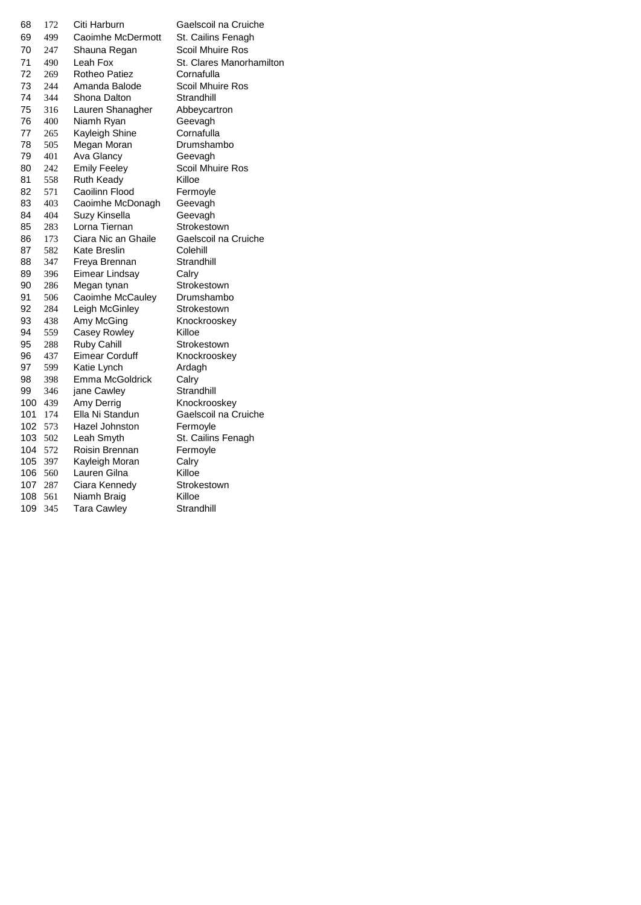| 68  | 172 | Citi Harburn        | Gaelscoil na Cruicl     |
|-----|-----|---------------------|-------------------------|
| 69  | 499 | Caoimhe McDermott   | St. Cailins Fenagh      |
| 70  | 247 | Shauna Regan        | <b>Scoil Mhuire Ros</b> |
| 71  | 490 | Leah Fox            | St. Clares Manorha      |
| 72  | 269 | Rotheo Patiez       | Cornafulla              |
| 73  | 244 | Amanda Balode       | Scoil Mhuire Ros        |
| 74  | 344 | Shona Dalton        | Strandhill              |
| 75  | 316 | Lauren Shanagher    | Abbeycartron            |
| 76  | 400 | Niamh Ryan          | Geevagh                 |
| 77  | 265 | Kayleigh Shine      | Cornafulla              |
| 78  | 505 | Megan Moran         | Drumshambo              |
| 79  | 401 | Ava Glancy          | Geevagh                 |
| 80  | 242 | <b>Emily Feeley</b> | Scoil Mhuire Ros        |
| 81  | 558 | Ruth Keady          | Killoe                  |
| 82  | 571 | Caoilinn Flood      | Fermoyle                |
| 83  | 403 | Caoimhe McDonagh    | Geevagh                 |
| 84  | 404 | Suzy Kinsella       | Geevagh                 |
| 85  | 283 | Lorna Tiernan       | Strokestown             |
| 86  | 173 | Ciara Nic an Ghaile | Gaelscoil na Cruicl     |
| 87  | 582 | Kate Breslin        | Colehill                |
| 88  | 347 | Freya Brennan       | Strandhill              |
| 89  | 396 | Eimear Lindsay      | Calry                   |
| 90  | 286 | Megan tynan         | Strokestown             |
| 91  | 506 | Caoimhe McCauley    | Drumshambo              |
| 92  | 284 | Leigh McGinley      | Strokestown             |
| 93  | 438 | Amy McGing          | Knockrooskey            |
| 94  | 559 | Casey Rowley        | Killoe                  |
| 95  | 288 | <b>Ruby Cahill</b>  | Strokestown             |
| 96  | 437 | Eimear Corduff      | Knockrooskey            |
| 97  | 599 | Katie Lynch         | Ardagh                  |
| 98  | 398 | Emma McGoldrick     | Calry                   |
| 99  | 346 | jane Cawley         | Strandhill              |
| 100 | 439 | Amy Derrig          | Knockrooskey            |
| 101 | 174 | Ella Ni Standun     | Gaelscoil na Cruicl     |
| 102 | 573 | Hazel Johnston      | Fermoyle                |
| 103 | 502 | Leah Smyth          | St. Cailins Fenagh      |
| 104 | 572 | Roisin Brennan      | Fermoyle                |
| 105 | 397 | Kayleigh Moran      | Calry                   |
| 106 | 560 | Lauren Gilna        | Killoe                  |
| 107 | 287 | Ciara Kennedy       | Strokestown             |
| 108 | 561 | Niamh Braig         | Killoe                  |
| 109 | 345 | <b>Tara Cawley</b>  | Strandhill              |
|     |     |                     |                         |

Gaelscoil na Cruiche St. Cailins Fenagh Scoil Mhuire Ros St. Clares Manorhamilton **Cornafulla** Scoil Mhuire Ros **Strandhill** Abbeycartron Geevagh Cornafulla Drumshambo Geevagh Scoil Mhuire Ros Killoe Fermoyle Geevagh Geevagh Strokestown Gaelscoil na Cruiche Colehill Strandhill Calry Strokestown Drumshambo Strokestown Knockrooskey Killoe Strokestown Knockrooskey Ardagh Calry Strandhill Knockrooskey Gaelscoil na Cruiche Fermoyle St. Cailins Fenagh Killoe Strokestown Killoe Strandhill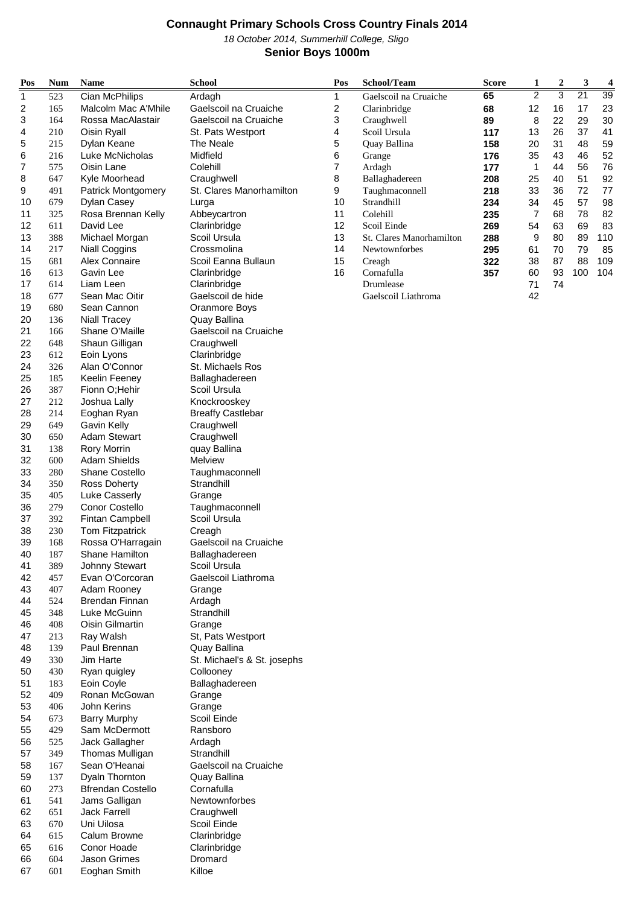October 2014, Summerhill College, Sligo **Senior Boys 1000m**

| Pos      | <b>Num</b> | <b>Name</b>                           | <b>School</b>                         | Pos | School/Team              | Score | 1              | 2  | 3               | 4   |
|----------|------------|---------------------------------------|---------------------------------------|-----|--------------------------|-------|----------------|----|-----------------|-----|
| 1        | 523        | Cian McPhilips                        | Ardagh                                | 1   | Gaelscoil na Cruaiche    | 65    | $\overline{2}$ | 3  | $\overline{21}$ | 39  |
| 2        | 165        | Malcolm Mac A'Mhile                   | Gaelscoil na Cruaiche                 | 2   | Clarinbridge             | 68    | 12             | 16 | 17              | 23  |
| 3        | 164        | Rossa MacAlastair                     | Gaelscoil na Cruaiche                 | 3   | Craughwell               | 89    | 8              | 22 | 29              | 30  |
| 4        | 210        | Oisin Ryall                           | St. Pats Westport                     | 4   | Scoil Ursula             | 117   | 13             | 26 | 37              | 41  |
| 5        | 215        | Dylan Keane                           | The Neale                             | 5   | Quay Ballina             | 158   | 20             | 31 | 48              | 59  |
| 6        | 216        | Luke McNicholas                       | Midfield                              | 6   | Grange                   | 176   | 35             | 43 | 46              | 52  |
| 7        | 575        | Oisin Lane                            | Colehill                              | 7   | Ardagh                   | 177   | 1              | 44 | 56              | 76  |
| 8        | 647        | Kyle Moorhead                         | Craughwell                            | 8   | Ballaghadereen           | 208   | 25             | 40 | 51              | 92  |
| 9        | 491        | <b>Patrick Montgomery</b>             | St. Clares Manorhamilton              | 9   | Taughmaconnell           | 218   | 33             | 36 | 72              | 77  |
| 10       | 679        | Dylan Casey                           | Lurga                                 | 10  | Strandhill               | 234   | 34             | 45 | 57              | 98  |
| 11       | 325        | Rosa Brennan Kelly                    | Abbeycartron                          | 11  | Colehill                 | 235   | 7              | 68 | 78              | 82  |
| 12       | 611        | David Lee                             | Clarinbridge                          | 12  | Scoil Einde              | 269   | 54             | 63 | 69              | 83  |
| 13       | 388        | Michael Morgan                        | Scoil Ursula                          | 13  | St. Clares Manorhamilton | 288   | 9              | 80 | 89              | 110 |
| 14       | 217        | <b>Niall Coggins</b>                  | Crossmolina                           | 14  | Newtownforbes            | 295   | 61             | 70 | 79              | 85  |
| 15       | 681        | Alex Connaire                         | Scoil Eanna Bullaun                   | 15  | Creagh                   | 322   | 38             | 87 | 88              | 109 |
| 16       | 613        | Gavin Lee                             | Clarinbridge                          | 16  | Cornafulla               | 357   | 60             | 93 | 100             | 104 |
| 17       | 614        | Liam Leen                             | Clarinbridge                          |     | Drumlease                |       | 71             | 74 |                 |     |
| 18       | 677        | Sean Mac Oitir                        | Gaelscoil de hide                     |     | Gaelscoil Liathroma      |       | 42             |    |                 |     |
| 19<br>20 | 680<br>136 | Sean Cannon                           | Oranmore Boys                         |     |                          |       |                |    |                 |     |
|          |            | <b>Niall Tracey</b><br>Shane O'Maille | Quay Ballina<br>Gaelscoil na Cruaiche |     |                          |       |                |    |                 |     |
| 21<br>22 | 166        | Shaun Gilligan                        | Craughwell                            |     |                          |       |                |    |                 |     |
| 23       | 648<br>612 | Eoin Lyons                            | Clarinbridge                          |     |                          |       |                |    |                 |     |
| 24       | 326        | Alan O'Connor                         | St. Michaels Ros                      |     |                          |       |                |    |                 |     |
| 25       | 185        | <b>Keelin Feeney</b>                  | Ballaghadereen                        |     |                          |       |                |    |                 |     |
| 26       | 387        | Fionn O; Hehir                        | Scoil Ursula                          |     |                          |       |                |    |                 |     |
| 27       | 212        | Joshua Lally                          | Knockrooskey                          |     |                          |       |                |    |                 |     |
| 28       | 214        | Eoghan Ryan                           | <b>Breaffy Castlebar</b>              |     |                          |       |                |    |                 |     |
| 29       | 649        | Gavin Kelly                           | Craughwell                            |     |                          |       |                |    |                 |     |
| 30       | 650        | Adam Stewart                          | Craughwell                            |     |                          |       |                |    |                 |     |
| 31       | 138        | <b>Rory Morrin</b>                    | quay Ballina                          |     |                          |       |                |    |                 |     |
| 32       | 600        | <b>Adam Shields</b>                   | Melview                               |     |                          |       |                |    |                 |     |
| 33       | 280        | <b>Shane Costello</b>                 | Taughmaconnell                        |     |                          |       |                |    |                 |     |
| 34       | 350        | <b>Ross Doherty</b>                   | Strandhill                            |     |                          |       |                |    |                 |     |
| 35       | 405        | <b>Luke Casserly</b>                  | Grange                                |     |                          |       |                |    |                 |     |
| 36       | 279        | Conor Costello                        | Taughmaconnell                        |     |                          |       |                |    |                 |     |
| 37       | 392        | Fintan Campbell                       | Scoil Ursula                          |     |                          |       |                |    |                 |     |
| 38       | 230        | Tom Fitzpatrick                       | Creagh                                |     |                          |       |                |    |                 |     |
| 39       | 168        | Rossa O'Harragain                     | Gaelscoil na Cruaiche                 |     |                          |       |                |    |                 |     |
| 40       | 187        | Shane Hamilton                        | Ballaghadereen                        |     |                          |       |                |    |                 |     |
| 41       | 389        | <b>Johnny Stewart</b>                 | Scoil Ursula                          |     |                          |       |                |    |                 |     |
| 42       | 457        | Evan O'Corcoran                       | Gaelscoil Liathroma                   |     |                          |       |                |    |                 |     |
| 43       | 407        | Adam Rooney                           | Grange                                |     |                          |       |                |    |                 |     |
| 44       | 524        | Brendan Finnan                        | Ardagh                                |     |                          |       |                |    |                 |     |
| 45       | 348        | Luke McGuinn                          | Strandhill                            |     |                          |       |                |    |                 |     |
| 46       | 408        | Oisin Gilmartin                       | Grange                                |     |                          |       |                |    |                 |     |
| 47       | 213        | Ray Walsh                             | St, Pats Westport                     |     |                          |       |                |    |                 |     |
| 48       | 139        | Paul Brennan                          | Quay Ballina                          |     |                          |       |                |    |                 |     |
| 49       | 330        | Jim Harte                             | St. Michael's & St. josephs           |     |                          |       |                |    |                 |     |
| 50       | 430        | Ryan quigley                          | Collooney                             |     |                          |       |                |    |                 |     |
| 51<br>52 | 183<br>409 | Eoin Coyle<br>Ronan McGowan           | Ballaghadereen                        |     |                          |       |                |    |                 |     |
| 53       | 406        | John Kerins                           | Grange<br>Grange                      |     |                          |       |                |    |                 |     |
| 54       | 673        | <b>Barry Murphy</b>                   | Scoil Einde                           |     |                          |       |                |    |                 |     |
| 55       | 429        | Sam McDermott                         | Ransboro                              |     |                          |       |                |    |                 |     |
| 56       | 525        | Jack Gallagher                        | Ardagh                                |     |                          |       |                |    |                 |     |
| 57       | 349        | Thomas Mulligan                       | Strandhill                            |     |                          |       |                |    |                 |     |
| 58       | 167        | Sean O'Heanai                         | Gaelscoil na Cruaiche                 |     |                          |       |                |    |                 |     |
| 59       | 137        | Dyaln Thornton                        | Quay Ballina                          |     |                          |       |                |    |                 |     |
| 60       | 273        | <b>Bfrendan Costello</b>              | Cornafulla                            |     |                          |       |                |    |                 |     |
| 61       | 541        | Jams Galligan                         | Newtownforbes                         |     |                          |       |                |    |                 |     |
| 62       | 651        | <b>Jack Farrell</b>                   | Craughwell                            |     |                          |       |                |    |                 |     |
| 63       | 670        | Uni Uilosa                            | Scoil Einde                           |     |                          |       |                |    |                 |     |
| 64       | 615        | Calum Browne                          | Clarinbridge                          |     |                          |       |                |    |                 |     |
| 65       | 616        | Conor Hoade                           | Clarinbridge                          |     |                          |       |                |    |                 |     |
| 66       | 604        | Jason Grimes                          | Dromard                               |     |                          |       |                |    |                 |     |

601 Eoghan Smith Killoe